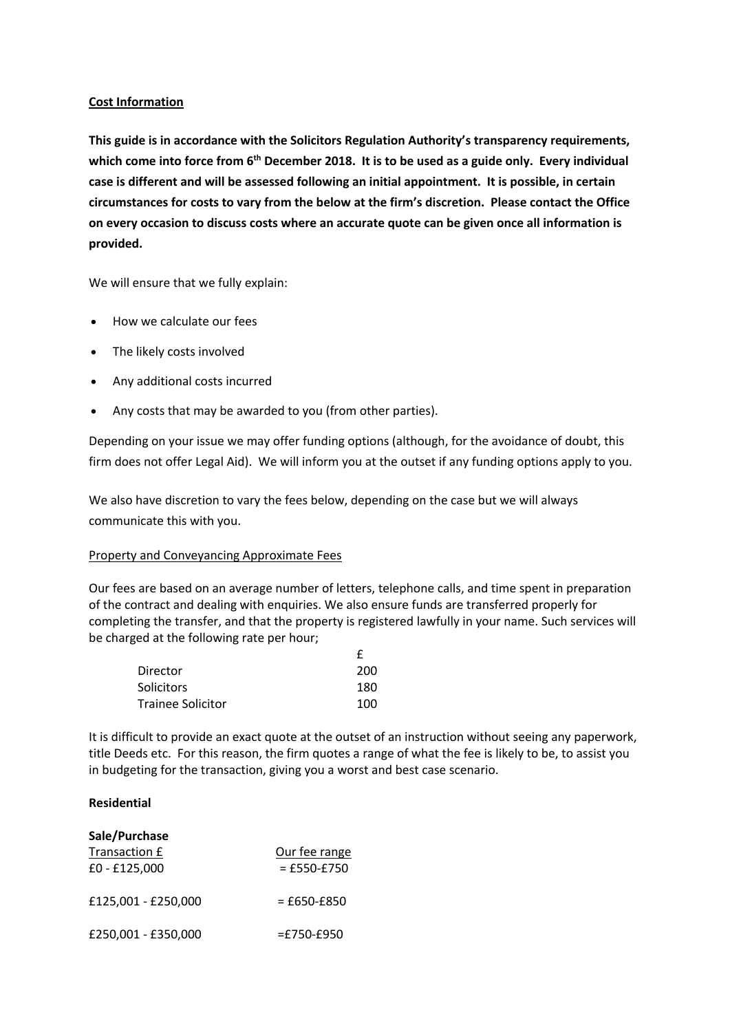## **Cost Information**

**This guide is in accordance with the Solicitors Regulation Authority's transparency requirements,**  which come into force from 6<sup>th</sup> December 2018. It is to be used as a guide only. Every individual **case is different and will be assessed following an initial appointment. It is possible, in certain circumstances for costs to vary from the below at the firm's discretion. Please contact the Office on every occasion to discuss costs where an accurate quote can be given once all information is provided.** 

We will ensure that we fully explain:

- How we calculate our fees
- The likely costs involved
- Any additional costs incurred
- Any costs that may be awarded to you (from other parties).

Depending on your issue we may offer funding options (although, for the avoidance of doubt, this firm does not offer Legal Aid). We will inform you at the outset if any funding options apply to you.

We also have discretion to vary the fees below, depending on the case but we will always communicate this with you.

#### Property and Conveyancing Approximate Fees

Our fees are based on an average number of letters, telephone calls, and time spent in preparation of the contract and dealing with enquiries. We also ensure funds are transferred properly for completing the transfer, and that the property is registered lawfully in your name. Such services will be charged at the following rate per hour;

| Director                 | 200 |
|--------------------------|-----|
| <b>Solicitors</b>        | 180 |
| <b>Trainee Solicitor</b> | 100 |

It is difficult to provide an exact quote at the outset of an instruction without seeing any paperwork, title Deeds etc. For this reason, the firm quotes a range of what the fee is likely to be, to assist you in budgeting for the transaction, giving you a worst and best case scenario.

## **Residential**

| Sale/Purchase       |               |
|---------------------|---------------|
| Transaction £       | Our fee range |
| £0 - £125,000       | $=$ £550-£750 |
| £125,001 - £250,000 | $=$ £650-£850 |
| £250,001 - £350,000 | $=$ £750-£950 |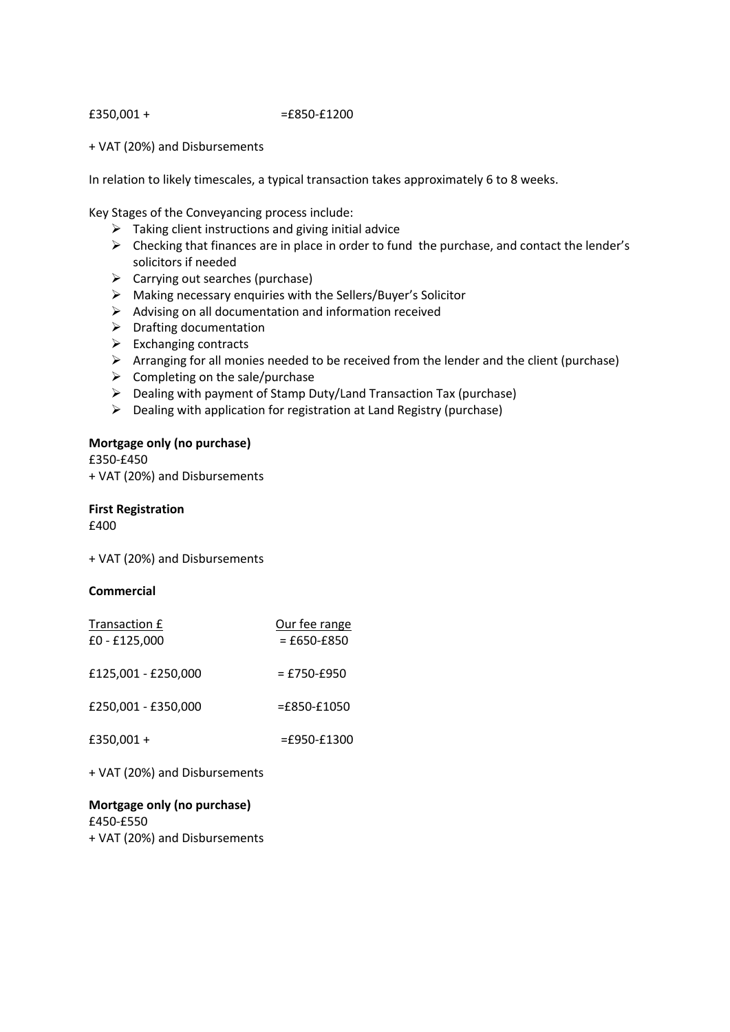$£350,001 + =£850 - £1200$ 

+ VAT (20%) and Disbursements

In relation to likely timescales, a typical transaction takes approximately 6 to 8 weeks.

Key Stages of the Conveyancing process include:

- $\triangleright$  Taking client instructions and giving initial advice
- $\triangleright$  Checking that finances are in place in order to fund the purchase, and contact the lender's solicitors if needed
- $\triangleright$  Carrying out searches (purchase)
- $\triangleright$  Making necessary enquiries with the Sellers/Buyer's Solicitor
- $\triangleright$  Advising on all documentation and information received
- $\triangleright$  Drafting documentation
- $\triangleright$  Exchanging contracts
- $\triangleright$  Arranging for all monies needed to be received from the lender and the client (purchase)
- $\triangleright$  Completing on the sale/purchase
- $\triangleright$  Dealing with payment of Stamp Duty/Land Transaction Tax (purchase)
- $\triangleright$  Dealing with application for registration at Land Registry (purchase)

## **Mortgage only (no purchase)**

£350-£450 + VAT (20%) and Disbursements

**First Registration**  £400

+ VAT (20%) and Disbursements

## **Commercial**

| Transaction £<br>£0 - £125,000 | Our fee range<br>$=$ £650-£850 |
|--------------------------------|--------------------------------|
| £125,001 - £250,000            | $=$ £750-£950                  |
| £250,001 - £350,000            | $=£850-E1050$                  |
| £350,001+                      | $=$ £950-£1300                 |
|                                |                                |

+ VAT (20%) and Disbursements

**Mortgage only (no purchase)** £450-£550 + VAT (20%) and Disbursements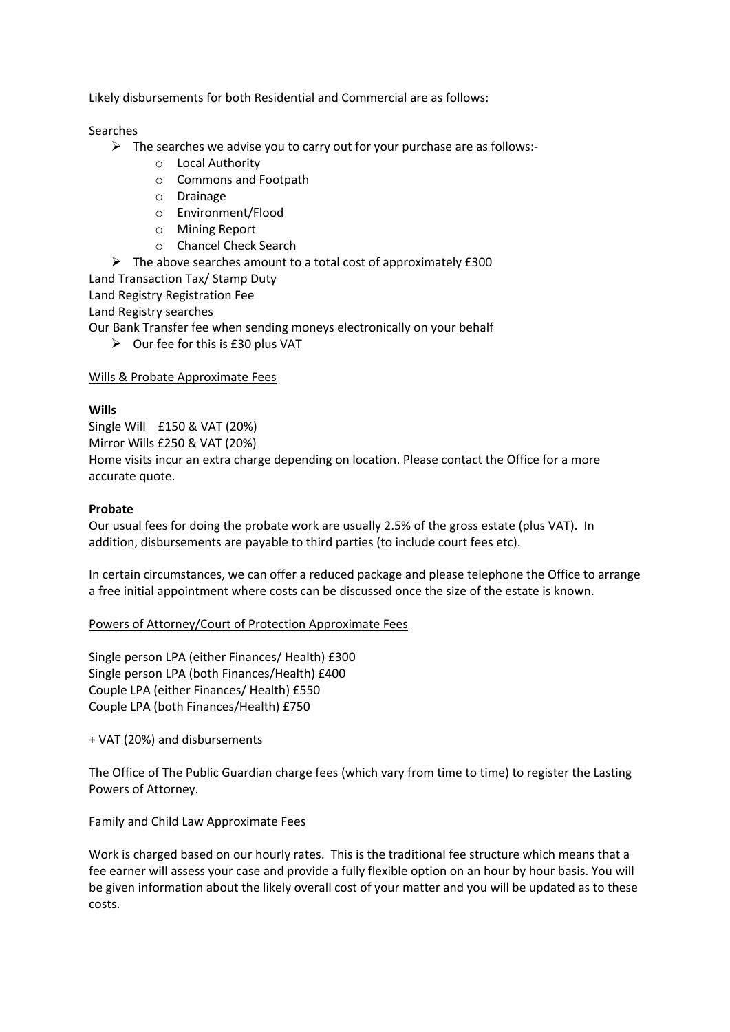Likely disbursements for both Residential and Commercial are as follows:

Searches

- $\triangleright$  The searches we advise you to carry out for your purchase are as follows:
	- o Local Authority
	- o Commons and Footpath
	- o Drainage
	- o Environment/Flood
	- o Mining Report
	- o Chancel Check Search
- $\triangleright$  The above searches amount to a total cost of approximately £300

Land Transaction Tax/ Stamp Duty

Land Registry Registration Fee

Land Registry searches

Our Bank Transfer fee when sending moneys electronically on your behalf

 $\triangleright$  Our fee for this is £30 plus VAT

# Wills & Probate Approximate Fees

# **Wills**

Single Will £150 & VAT (20%) Mirror Wills £250 & VAT (20%) Home visits incur an extra charge depending on location. Please contact the Office for a more accurate quote.

# **Probate**

Our usual fees for doing the probate work are usually 2.5% of the gross estate (plus VAT). In addition, disbursements are payable to third parties (to include court fees etc).

In certain circumstances, we can offer a reduced package and please telephone the Office to arrange a free initial appointment where costs can be discussed once the size of the estate is known.

## Powers of Attorney/Court of Protection Approximate Fees

Single person LPA (either Finances/ Health) £300 Single person LPA (both Finances/Health) £400 Couple LPA (either Finances/ Health) £550 Couple LPA (both Finances/Health) £750

+ VAT (20%) and disbursements

The Office of The Public Guardian charge fees (which vary from time to time) to register the Lasting Powers of Attorney.

## Family and Child Law Approximate Fees

Work is charged based on our hourly rates. This is the traditional fee structure which means that a fee earner will assess your case and provide a fully flexible option on an hour by hour basis. You will be given information about the likely overall cost of your matter and you will be updated as to these costs.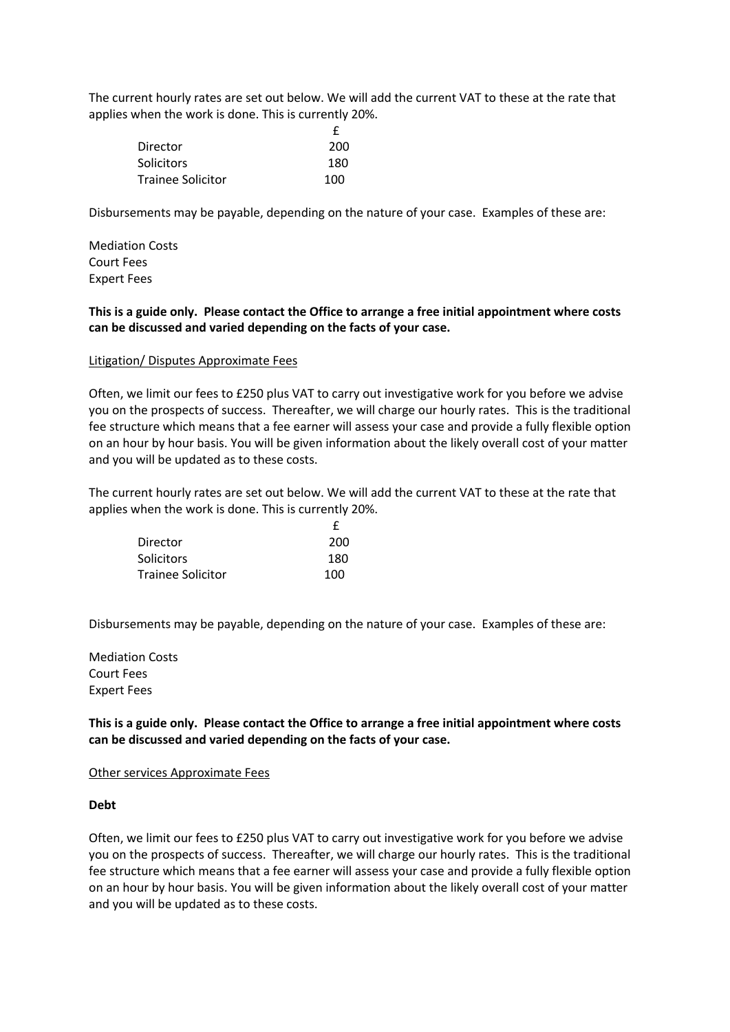The current hourly rates are set out below. We will add the current VAT to these at the rate that applies when the work is done. This is currently 20%.

| Director                 | 200 |
|--------------------------|-----|
| <b>Solicitors</b>        | 180 |
| <b>Trainee Solicitor</b> | 100 |

Disbursements may be payable, depending on the nature of your case. Examples of these are:

Mediation Costs Court Fees Expert Fees

# **This is a guide only. Please contact the Office to arrange a free initial appointment where costs can be discussed and varied depending on the facts of your case.**

#### Litigation/ Disputes Approximate Fees

Often, we limit our fees to £250 plus VAT to carry out investigative work for you before we advise you on the prospects of success. Thereafter, we will charge our hourly rates. This is the traditional fee structure which means that a fee earner will assess your case and provide a fully flexible option on an hour by hour basis. You will be given information about the likely overall cost of your matter and you will be updated as to these costs.

The current hourly rates are set out below. We will add the current VAT to these at the rate that applies when the work is done. This is currently 20%.

| Director                 | 200 |
|--------------------------|-----|
| <b>Solicitors</b>        | 180 |
| <b>Trainee Solicitor</b> | 100 |

Disbursements may be payable, depending on the nature of your case. Examples of these are:

Mediation Costs Court Fees Expert Fees

**This is a guide only. Please contact the Office to arrange a free initial appointment where costs can be discussed and varied depending on the facts of your case.** 

#### Other services Approximate Fees

**Debt** 

Often, we limit our fees to £250 plus VAT to carry out investigative work for you before we advise you on the prospects of success. Thereafter, we will charge our hourly rates. This is the traditional fee structure which means that a fee earner will assess your case and provide a fully flexible option on an hour by hour basis. You will be given information about the likely overall cost of your matter and you will be updated as to these costs.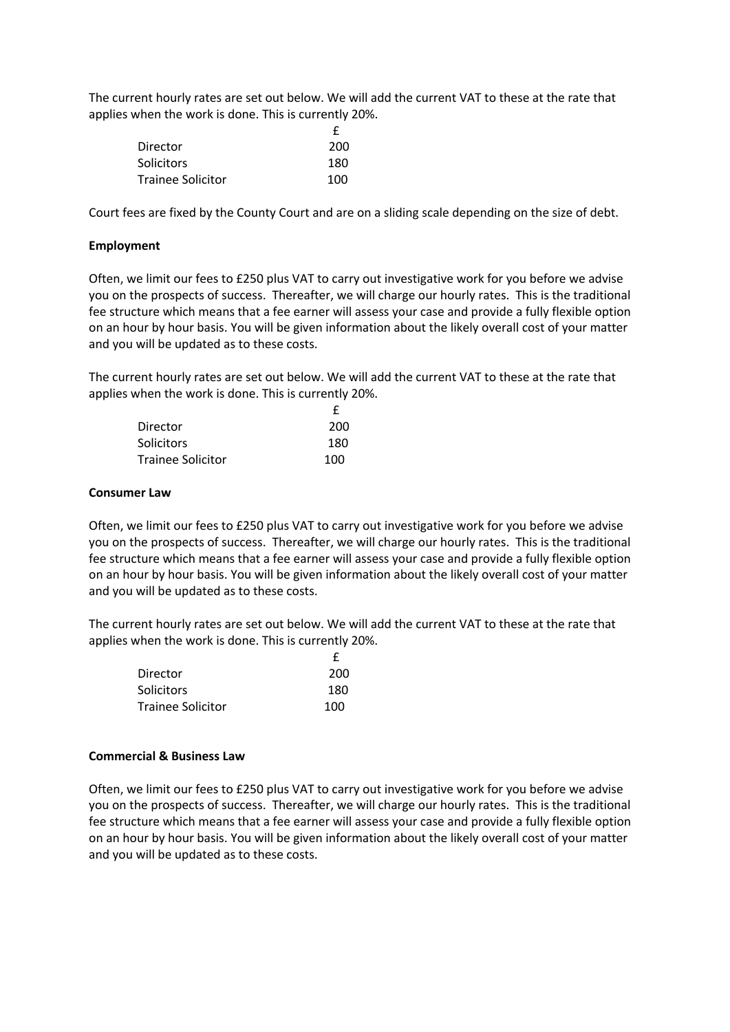The current hourly rates are set out below. We will add the current VAT to these at the rate that applies when the work is done. This is currently 20%.

| Director                 | 200 |
|--------------------------|-----|
| <b>Solicitors</b>        | 180 |
| <b>Trainee Solicitor</b> | 100 |

Court fees are fixed by the County Court and are on a sliding scale depending on the size of debt.

#### **Employment**

Often, we limit our fees to £250 plus VAT to carry out investigative work for you before we advise you on the prospects of success. Thereafter, we will charge our hourly rates. This is the traditional fee structure which means that a fee earner will assess your case and provide a fully flexible option on an hour by hour basis. You will be given information about the likely overall cost of your matter and you will be updated as to these costs.

The current hourly rates are set out below. We will add the current VAT to these at the rate that applies when the work is done. This is currently 20%.

| Director                 | 200 |
|--------------------------|-----|
| <b>Solicitors</b>        | 180 |
| <b>Trainee Solicitor</b> | 100 |

#### **Consumer Law**

Often, we limit our fees to £250 plus VAT to carry out investigative work for you before we advise you on the prospects of success. Thereafter, we will charge our hourly rates. This is the traditional fee structure which means that a fee earner will assess your case and provide a fully flexible option on an hour by hour basis. You will be given information about the likely overall cost of your matter and you will be updated as to these costs.

The current hourly rates are set out below. We will add the current VAT to these at the rate that applies when the work is done. This is currently 20%.

| Director                 | 200 |
|--------------------------|-----|
| <b>Solicitors</b>        | 180 |
| <b>Trainee Solicitor</b> | 100 |

#### **Commercial & Business Law**

Often, we limit our fees to £250 plus VAT to carry out investigative work for you before we advise you on the prospects of success. Thereafter, we will charge our hourly rates. This is the traditional fee structure which means that a fee earner will assess your case and provide a fully flexible option on an hour by hour basis. You will be given information about the likely overall cost of your matter and you will be updated as to these costs.